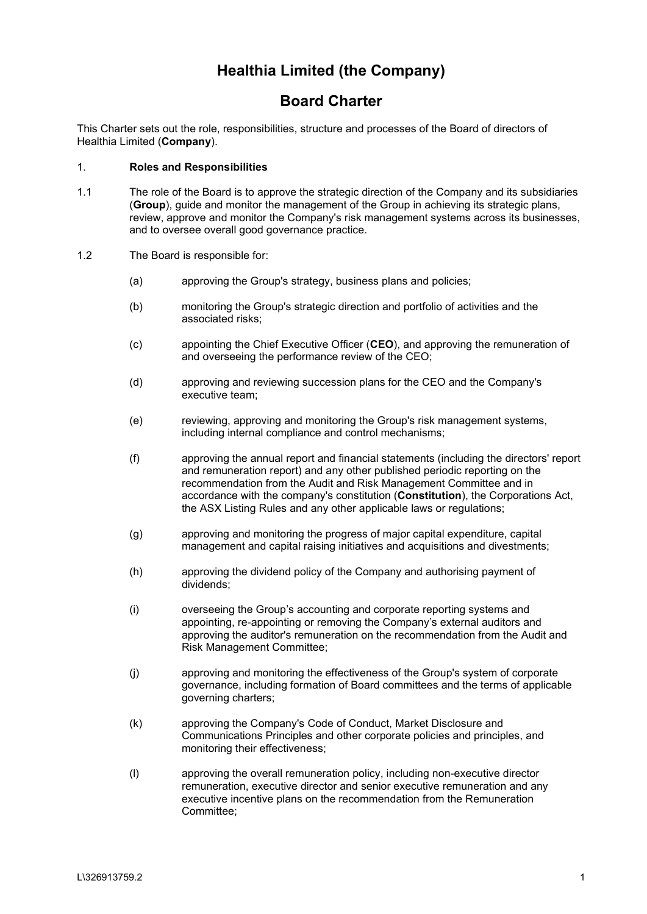# **Healthia Limited (the Company)**

## **Board Charter**

This Charter sets out the role, responsibilities, structure and processes of the Board of directors of Healthia Limited (**Company**).

#### 1. **Roles and Responsibilities**

- 1.1 The role of the Board is to approve the strategic direction of the Company and its subsidiaries (**Group**), guide and monitor the management of the Group in achieving its strategic plans, review, approve and monitor the Company's risk management systems across its businesses, and to oversee overall good governance practice.
- 1.2 The Board is responsible for:
	- (a) approving the Group's strategy, business plans and policies;
	- (b) monitoring the Group's strategic direction and portfolio of activities and the associated risks;
	- (c) appointing the Chief Executive Officer (**CEO**), and approving the remuneration of and overseeing the performance review of the CEO;
	- (d) approving and reviewing succession plans for the CEO and the Company's executive team;
	- (e) reviewing, approving and monitoring the Group's risk management systems, including internal compliance and control mechanisms;
	- (f) approving the annual report and financial statements (including the directors' report and remuneration report) and any other published periodic reporting on the recommendation from the Audit and Risk Management Committee and in accordance with the company's constitution (**Constitution**), the Corporations Act, the ASX Listing Rules and any other applicable laws or regulations;
	- (g) approving and monitoring the progress of major capital expenditure, capital management and capital raising initiatives and acquisitions and divestments;
	- (h) approving the dividend policy of the Company and authorising payment of dividends;
	- (i) overseeing the Group's accounting and corporate reporting systems and appointing, re-appointing or removing the Company's external auditors and approving the auditor's remuneration on the recommendation from the Audit and Risk Management Committee;
	- (j) approving and monitoring the effectiveness of the Group's system of corporate governance, including formation of Board committees and the terms of applicable governing charters;
	- (k) approving the Company's Code of Conduct, Market Disclosure and Communications Principles and other corporate policies and principles, and monitoring their effectiveness;
	- (l) approving the overall remuneration policy, including non-executive director remuneration, executive director and senior executive remuneration and any executive incentive plans on the recommendation from the Remuneration Committee;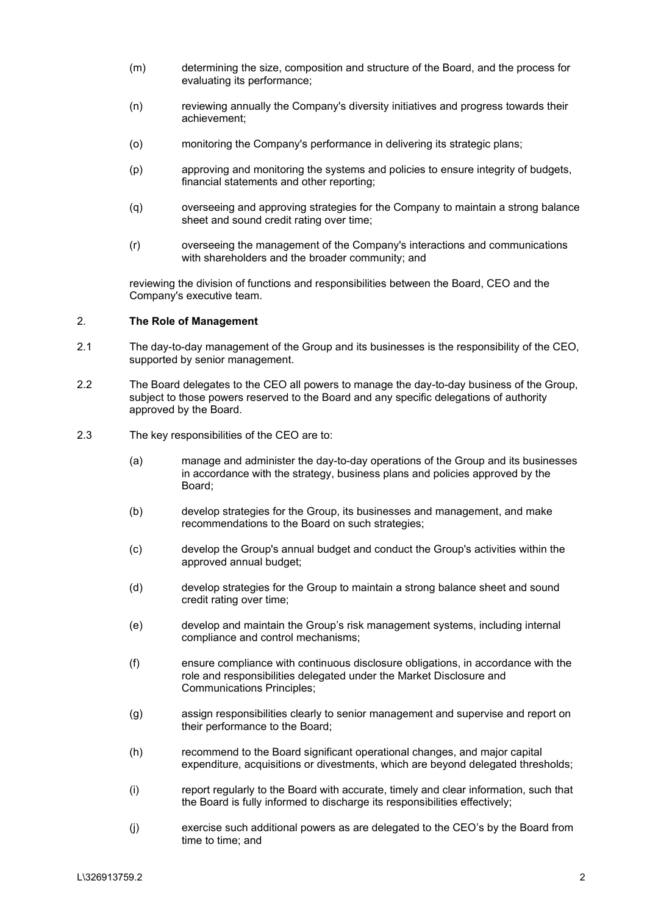- (m) determining the size, composition and structure of the Board, and the process for evaluating its performance;
- (n) reviewing annually the Company's diversity initiatives and progress towards their achievement;
- (o) monitoring the Company's performance in delivering its strategic plans;
- (p) approving and monitoring the systems and policies to ensure integrity of budgets, financial statements and other reporting;
- (q) overseeing and approving strategies for the Company to maintain a strong balance sheet and sound credit rating over time;
- (r) overseeing the management of the Company's interactions and communications with shareholders and the broader community; and

reviewing the division of functions and responsibilities between the Board, CEO and the Company's executive team.

## 2. **The Role of Management**

- 2.1 The day-to-day management of the Group and its businesses is the responsibility of the CEO, supported by senior management.
- 2.2 The Board delegates to the CEO all powers to manage the day-to-day business of the Group, subject to those powers reserved to the Board and any specific delegations of authority approved by the Board.
- 2.3 The key responsibilities of the CEO are to:
	- (a) manage and administer the day-to-day operations of the Group and its businesses in accordance with the strategy, business plans and policies approved by the Board;
	- (b) develop strategies for the Group, its businesses and management, and make recommendations to the Board on such strategies;
	- (c) develop the Group's annual budget and conduct the Group's activities within the approved annual budget;
	- (d) develop strategies for the Group to maintain a strong balance sheet and sound credit rating over time;
	- (e) develop and maintain the Group's risk management systems, including internal compliance and control mechanisms;
	- (f) ensure compliance with continuous disclosure obligations, in accordance with the role and responsibilities delegated under the Market Disclosure and Communications Principles;
	- (g) assign responsibilities clearly to senior management and supervise and report on their performance to the Board;
	- (h) recommend to the Board significant operational changes, and major capital expenditure, acquisitions or divestments, which are beyond delegated thresholds;
	- (i) report regularly to the Board with accurate, timely and clear information, such that the Board is fully informed to discharge its responsibilities effectively;
	- (j) exercise such additional powers as are delegated to the CEO's by the Board from time to time; and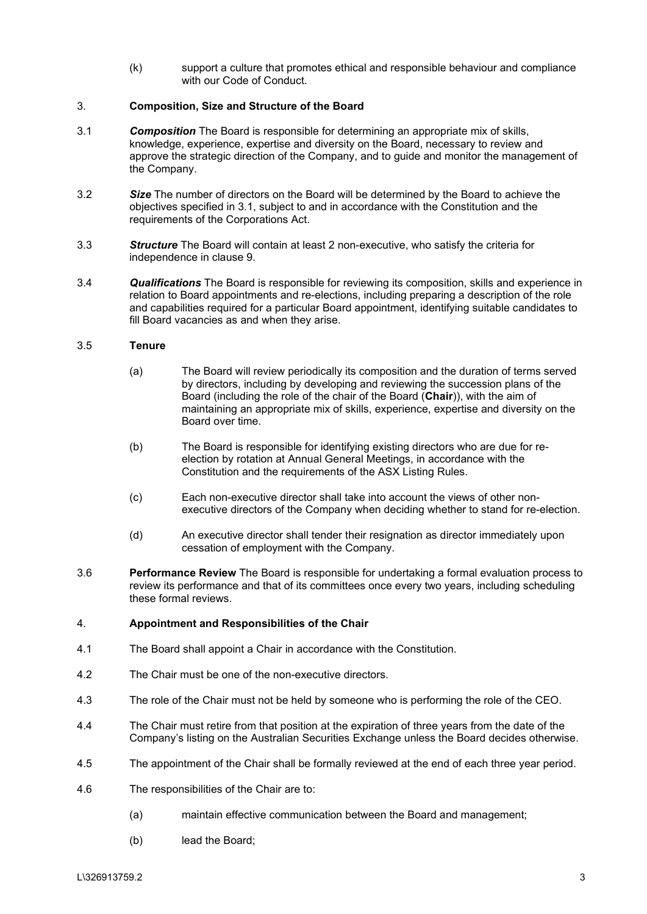(k) support a culture that promotes ethical and responsible behaviour and compliance with our Code of Conduct

## 3. **Composition, Size and Structure of the Board**

- <span id="page-2-0"></span>3.1 *Composition* The Board is responsible for determining an appropriate mix of skills, knowledge, experience, expertise and diversity on the Board, necessary to review and approve the strategic direction of the Company, and to guide and monitor the management of the Company.
- 3.2 *Size* The number of directors on the Board will be determined by the Board to achieve the objectives specified in [3.1,](#page-2-0) subject to and in accordance with the Constitution and the requirements of the Corporations Act.
- 3.3 *Structure* The Board will contain at least 2 non-executive, who satisfy the criteria for independence in clause [9.](#page-5-0)
- 3.4 *Qualifications* The Board is responsible for reviewing its composition, skills and experience in relation to Board appointments and re-elections, including preparing a description of the role and capabilities required for a particular Board appointment, identifying suitable candidates to fill Board vacancies as and when they arise.

## 3.5 **Tenure**

- (a) The Board will review periodically its composition and the duration of terms served by directors, including by developing and reviewing the succession plans of the Board (including the role of the chair of the Board (**Chair**)), with the aim of maintaining an appropriate mix of skills, experience, expertise and diversity on the Board over time.
- (b) The Board is responsible for identifying existing directors who are due for reelection by rotation at Annual General Meetings, in accordance with the Constitution and the requirements of the ASX Listing Rules.
- (c) Each non-executive director shall take into account the views of other nonexecutive directors of the Company when deciding whether to stand for re-election.
- (d) An executive director shall tender their resignation as director immediately upon cessation of employment with the Company.
- 3.6 **Performance Review** The Board is responsible for undertaking a formal evaluation process to review its performance and that of its committees once every two years, including scheduling these formal reviews.

## 4. **Appointment and Responsibilities of the Chair**

- 4.1 The Board shall appoint a Chair in accordance with the Constitution.
- 4.2 The Chair must be one of the non-executive directors.
- 4.3 The role of the Chair must not be held by someone who is performing the role of the CEO.
- 4.4 The Chair must retire from that position at the expiration of three years from the date of the Company's listing on the Australian Securities Exchange unless the Board decides otherwise.
- 4.5 The appointment of the Chair shall be formally reviewed at the end of each three year period.
- 4.6 The responsibilities of the Chair are to:
	- (a) maintain effective communication between the Board and management;
	- (b) lead the Board;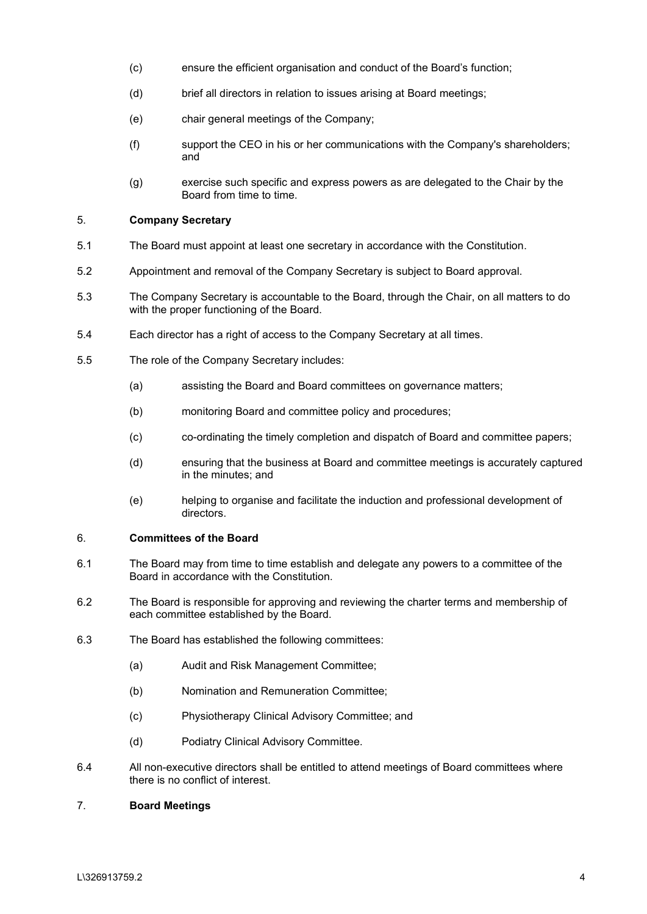- (c) ensure the efficient organisation and conduct of the Board's function;
- (d) brief all directors in relation to issues arising at Board meetings;
- (e) chair general meetings of the Company;
- (f) support the CEO in his or her communications with the Company's shareholders; and
- (g) exercise such specific and express powers as are delegated to the Chair by the Board from time to time.

## 5. **Company Secretary**

- 5.1 The Board must appoint at least one secretary in accordance with the Constitution.
- 5.2 Appointment and removal of the Company Secretary is subject to Board approval.
- 5.3 The Company Secretary is accountable to the Board, through the Chair, on all matters to do with the proper functioning of the Board.
- 5.4 Each director has a right of access to the Company Secretary at all times.
- 5.5 The role of the Company Secretary includes:
	- (a) assisting the Board and Board committees on governance matters;
	- (b) monitoring Board and committee policy and procedures;
	- (c) co-ordinating the timely completion and dispatch of Board and committee papers;
	- (d) ensuring that the business at Board and committee meetings is accurately captured in the minutes; and
	- (e) helping to organise and facilitate the induction and professional development of directors.

#### 6. **Committees of the Board**

- 6.1 The Board may from time to time establish and delegate any powers to a committee of the Board in accordance with the Constitution.
- 6.2 The Board is responsible for approving and reviewing the charter terms and membership of each committee established by the Board.
- 6.3 The Board has established the following committees:
	- (a) Audit and Risk Management Committee;
	- (b) Nomination and Remuneration Committee;
	- (c) Physiotherapy Clinical Advisory Committee; and
	- (d) Podiatry Clinical Advisory Committee.
- 6.4 All non-executive directors shall be entitled to attend meetings of Board committees where there is no conflict of interest.

## 7. **Board Meetings**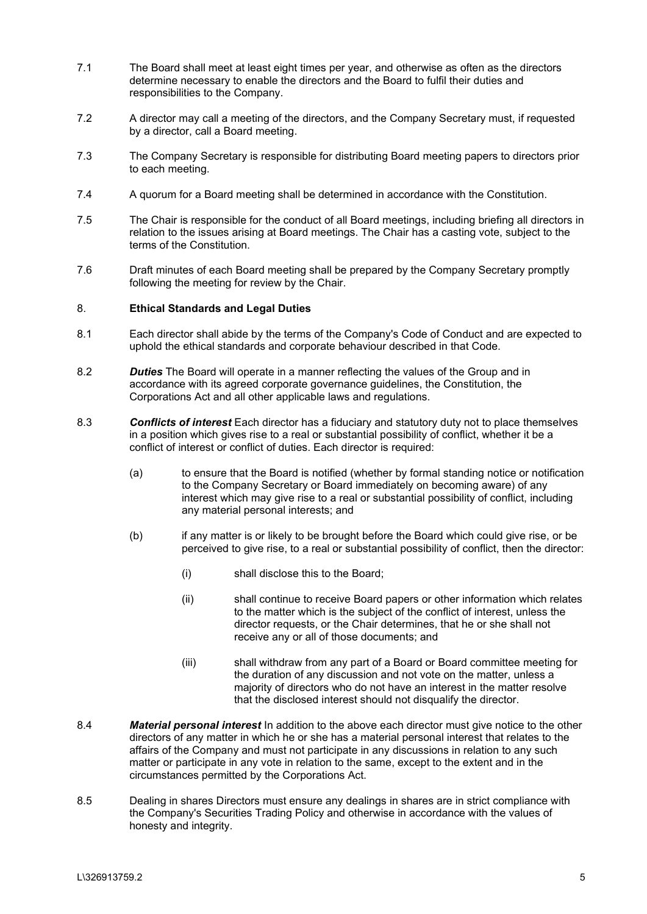- 7.1 The Board shall meet at least eight times per year, and otherwise as often as the directors determine necessary to enable the directors and the Board to fulfil their duties and responsibilities to the Company.
- 7.2 A director may call a meeting of the directors, and the Company Secretary must, if requested by a director, call a Board meeting.
- 7.3 The Company Secretary is responsible for distributing Board meeting papers to directors prior to each meeting.
- 7.4 A quorum for a Board meeting shall be determined in accordance with the Constitution.
- 7.5 The Chair is responsible for the conduct of all Board meetings, including briefing all directors in relation to the issues arising at Board meetings. The Chair has a casting vote, subject to the terms of the Constitution.
- 7.6 Draft minutes of each Board meeting shall be prepared by the Company Secretary promptly following the meeting for review by the Chair.

#### 8. **Ethical Standards and Legal Duties**

- 8.1 Each director shall abide by the terms of the Company's Code of Conduct and are expected to uphold the ethical standards and corporate behaviour described in that Code.
- 8.2 *Duties* The Board will operate in a manner reflecting the values of the Group and in accordance with its agreed corporate governance guidelines, the Constitution, the Corporations Act and all other applicable laws and regulations.
- 8.3 *Conflicts of interest* Each director has a fiduciary and statutory duty not to place themselves in a position which gives rise to a real or substantial possibility of conflict, whether it be a conflict of interest or conflict of duties. Each director is required:
	- (a) to ensure that the Board is notified (whether by formal standing notice or notification to the Company Secretary or Board immediately on becoming aware) of any interest which may give rise to a real or substantial possibility of conflict, including any material personal interests; and
	- (b) if any matter is or likely to be brought before the Board which could give rise, or be perceived to give rise, to a real or substantial possibility of conflict, then the director:
		- (i) shall disclose this to the Board;
		- (ii) shall continue to receive Board papers or other information which relates to the matter which is the subject of the conflict of interest, unless the director requests, or the Chair determines, that he or she shall not receive any or all of those documents; and
		- (iii) shall withdraw from any part of a Board or Board committee meeting for the duration of any discussion and not vote on the matter, unless a majority of directors who do not have an interest in the matter resolve that the disclosed interest should not disqualify the director.
- 8.4 *Material personal interest* In addition to the above each director must give notice to the other directors of any matter in which he or she has a material personal interest that relates to the affairs of the Company and must not participate in any discussions in relation to any such matter or participate in any vote in relation to the same, except to the extent and in the circumstances permitted by the Corporations Act.
- 8.5 Dealing in shares Directors must ensure any dealings in shares are in strict compliance with the Company's Securities Trading Policy and otherwise in accordance with the values of honesty and integrity.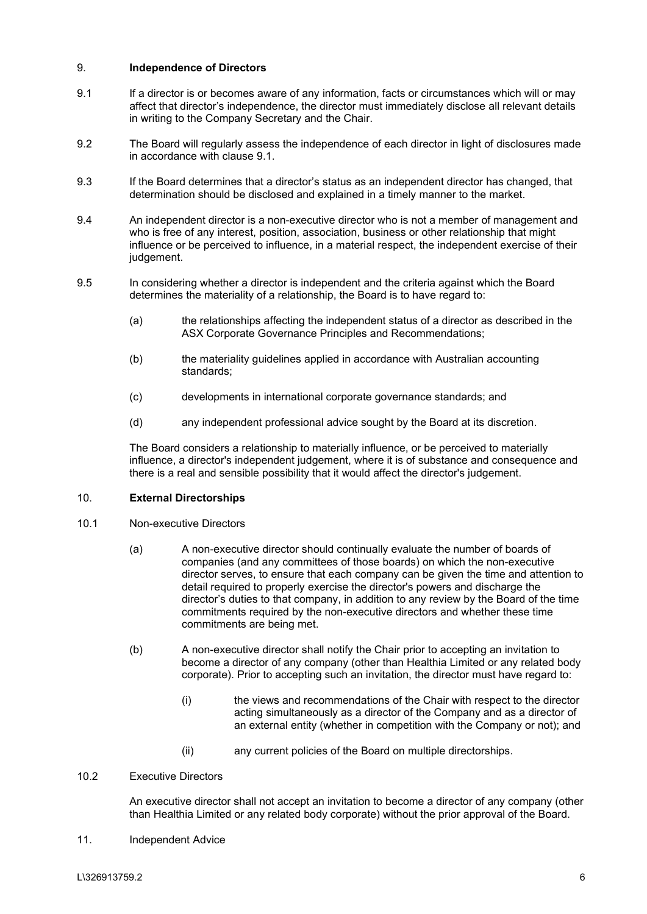## <span id="page-5-0"></span>9. **Independence of Directors**

- <span id="page-5-1"></span>9.1 If a director is or becomes aware of any information, facts or circumstances which will or may affect that director's independence, the director must immediately disclose all relevant details in writing to the Company Secretary and the Chair.
- 9.2 The Board will regularly assess the independence of each director in light of disclosures made in accordance with clause [9.1.](#page-5-1)
- 9.3 If the Board determines that a director's status as an independent director has changed, that determination should be disclosed and explained in a timely manner to the market.
- 9.4 An independent director is a non-executive director who is not a member of management and who is free of any interest, position, association, business or other relationship that might influence or be perceived to influence, in a material respect, the independent exercise of their judgement.
- 9.5 In considering whether a director is independent and the criteria against which the Board determines the materiality of a relationship, the Board is to have regard to:
	- (a) the relationships affecting the independent status of a director as described in the ASX Corporate Governance Principles and Recommendations;
	- (b) the materiality guidelines applied in accordance with Australian accounting standards;
	- (c) developments in international corporate governance standards; and
	- (d) any independent professional advice sought by the Board at its discretion.

The Board considers a relationship to materially influence, or be perceived to materially influence, a director's independent judgement, where it is of substance and consequence and there is a real and sensible possibility that it would affect the director's judgement.

## 10. **External Directorships**

- 10.1 Non-executive Directors
	- (a) A non-executive director should continually evaluate the number of boards of companies (and any committees of those boards) on which the non-executive director serves, to ensure that each company can be given the time and attention to detail required to properly exercise the director's powers and discharge the director's duties to that company, in addition to any review by the Board of the time commitments required by the non-executive directors and whether these time commitments are being met.
	- (b) A non-executive director shall notify the Chair prior to accepting an invitation to become a director of any company (other than Healthia Limited or any related body corporate). Prior to accepting such an invitation, the director must have regard to:
		- (i) the views and recommendations of the Chair with respect to the director acting simultaneously as a director of the Company and as a director of an external entity (whether in competition with the Company or not); and
		- (ii) any current policies of the Board on multiple directorships.

## 10.2 Executive Directors

An executive director shall not accept an invitation to become a director of any company (other than Healthia Limited or any related body corporate) without the prior approval of the Board.

11. Independent Advice